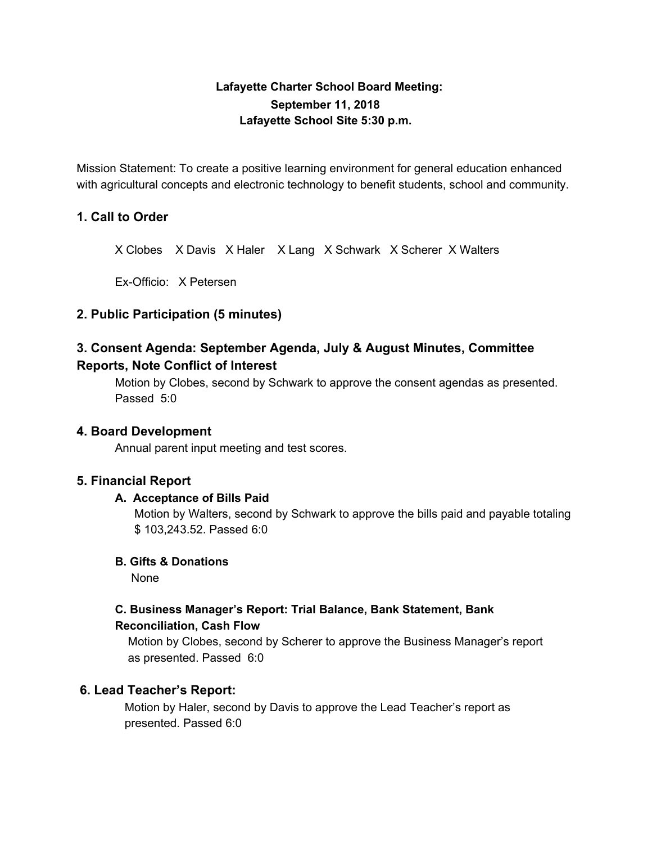# **Lafayette Charter School Board Meeting: September 11, 2018 Lafayette School Site 5:30 p.m.**

Mission Statement: To create a positive learning environment for general education enhanced with agricultural concepts and electronic technology to benefit students, school and community.

# **1. Call to Order**

X Clobes X Davis X Haler X Lang X Schwark X Scherer X Walters

Ex-Officio: X Petersen

# **2. Public Participation (5 minutes)**

# **3. Consent Agenda: September Agenda, July & August Minutes, Committee Reports, Note Conflict of Interest**

Motion by Clobes, second by Schwark to approve the consent agendas as presented. Passed 5:0

# **4. Board Development**

Annual parent input meeting and test scores.

# **5. Financial Report**

# **A. Acceptance of Bills Paid**

Motion by Walters, second by Schwark to approve the bills paid and payable totaling \$ 103,243.52. Passed 6:0

# **B. Gifts & Donations**

None

# **C. Business Manager's Report: Trial Balance, Bank Statement, Bank Reconciliation, Cash Flow**

Motion by Clobes, second by Scherer to approve the Business Manager's report as presented. Passed 6:0

# **6. Lead Teacher's Report:**

Motion by Haler, second by Davis to approve the Lead Teacher's report as presented. Passed 6:0